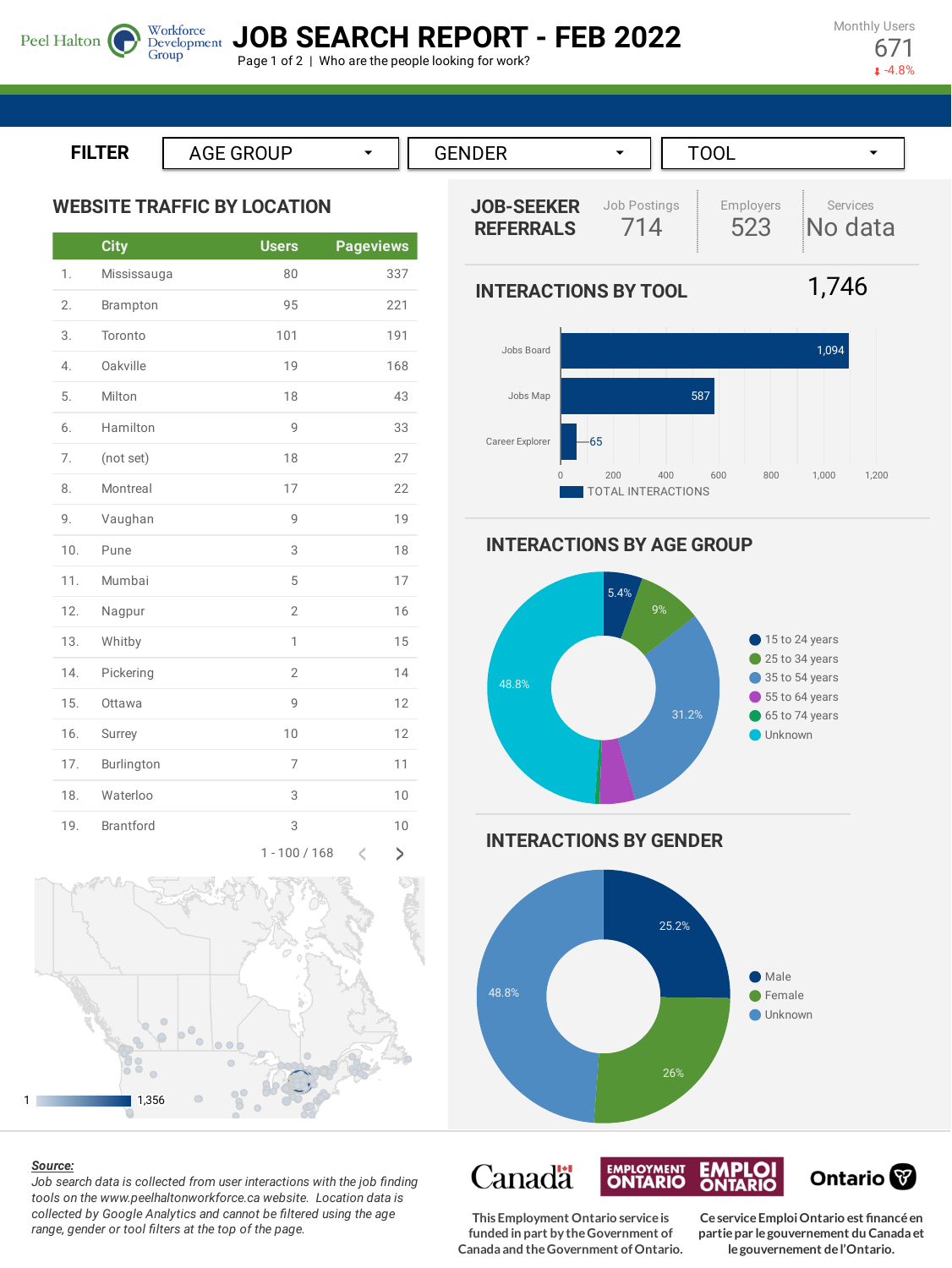**JOB SEARCH REPORT - FEB 2022**

Page 1 of 2 | Who are the people looking for work?

Monthly Users 671  $-4.8%$ 

**ILTER**

Peel Halton

**WEBSITE TRAFFIC BY LOCATION**

Group

|     | <b>City</b>      | <b>Users</b>   | <b>Pageviews</b>   |
|-----|------------------|----------------|--------------------|
| 1.  | Mississauga      | 80             | 337                |
| 2.  | Brampton         | 95             | 221                |
| 3.  | Toronto          | 101            | 191                |
| 4.  | Oakville         | 19             | 168                |
| 5.  | Milton           | 18             | 43                 |
| 6.  | Hamilton         | 9              | 33                 |
| 7.  | (not set)        | 18             | 27                 |
| 8.  | Montreal         | 17             | 22                 |
| 9.  | Vaughan          | 9              | 19                 |
| 10. | Pune             | 3              | 18                 |
| 11. | Mumbai           | 5              | 17                 |
| 12. | Nagpur           | $\overline{2}$ | 16                 |
| 13. | Whitby           | 1              | 15                 |
| 14. | Pickering        | $\mathbf{2}$   | 14                 |
| 15. | Ottawa           | 9              | 12                 |
| 16. | Surrey           | 10             | 12                 |
| 17. | Burlington       | 7              | 11                 |
| 18. | Waterloo         | 3              | 10                 |
| 19. | <b>Brantford</b> | 3              | 10                 |
|     |                  | 1 - 100 / 168  | $\mathcal{L}$<br>C |



#### *Source:*

*Job search data is collected from user interactions with the job finding tools on the www.peelhaltonworkforce.ca website. Location data is collected by Google Analytics and cannot be filtered using the age range, gender or tool filters at the top of the page.*





**INTERACTIONS BY AGE GROUP**

**INTERACTIONS BY TOOL**



**INTERACTIONS BY GENDER**



Canadä **EMPLOYMENT EMPLOI**<br>ONTARIO Ontario<sup>®</sup> **CeserviceEmploiOntario est financéen**

**This Employment Ontario serviceis funded in part by theGovernment of Canada and theGovernment ofOntario.**

**partiepar legouvernement du Canada et legouvernement del'Ontario.**